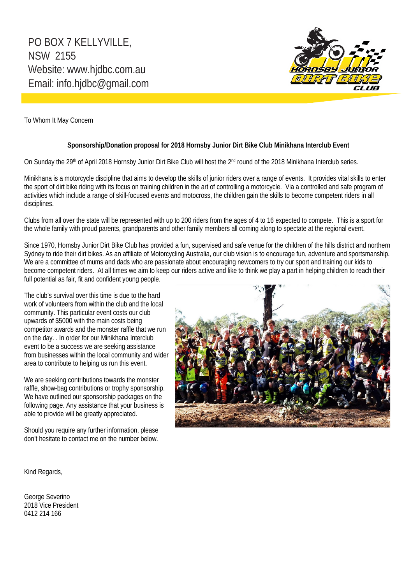

To Whom It May Concern

#### **Sponsorship/Donation proposal for 2018 Hornsby Junior Dirt Bike Club Minikhana Interclub Event**

On Sunday the 29<sup>th</sup> of April 2018 Hornsby Junior Dirt Bike Club will host the 2<sup>nd</sup> round of the 2018 Minikhana Interclub series.

Minikhana is a motorcycle discipline that aims to develop the skills of junior riders over a range of events. It provides vital skills to enter the sport of dirt bike riding with its focus on training children in the art of controlling a motorcycle. Via a controlled and safe program of activities which include a range of skill-focused events and motocross, the children gain the skills to become competent riders in all disciplines.

Clubs from all over the state will be represented with up to 200 riders from the ages of 4 to 16 expected to compete. This is a sport for the whole family with proud parents, grandparents and other family members all coming along to spectate at the regional event.

Since 1970, Hornsby Junior Dirt Bike Club has provided a fun, supervised and safe venue for the children of the hills district and northern Sydney to ride their dirt bikes. As an affiliate of Motorcycling Australia, our club vision is to encourage fun, adventure and sportsmanship. We are a committee of mums and dads who are passionate about encouraging newcomers to try our sport and training our kids to become competent riders. At all times we aim to keep our riders active and like to think we play a part in helping children to reach their full potential as fair, fit and confident young people.

The club's survival over this time is due to the hard work of volunteers from within the club and the local community. This particular event costs our club upwards of \$5000 with the main costs being competitor awards and the monster raffle that we run on the day. . In order for our Minikhana Interclub event to be a success we are seeking assistance from businesses within the local community and wider area to contribute to helping us run this event.

We are seeking contributions towards the monster raffle, show-bag contributions or trophy sponsorship. We have outlined our sponsorship packages on the following page. Any assistance that your business is able to provide will be greatly appreciated.

Should you require any further information, please don't hesitate to contact me on the number below.



Kind Regards,

George Severino 2018 Vice President 0412 214 166